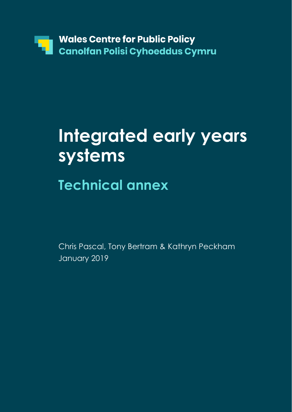

# **Integrated early years systems**

# **Technical annex**

Chris Pascal, Tony Bertram & Kathryn Peckham January 2019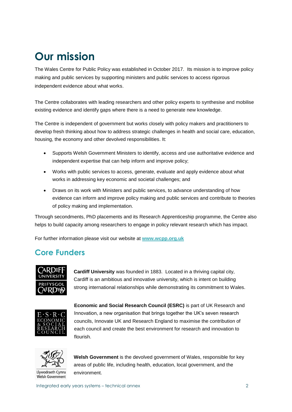### **Our mission**

The Wales Centre for Public Policy was established in October 2017. Its mission is to improve policy making and public services by supporting ministers and public services to access rigorous independent evidence about what works.

The Centre collaborates with leading researchers and other policy experts to synthesise and mobilise existing evidence and identify gaps where there is a need to generate new knowledge.

The Centre is independent of government but works closely with policy makers and practitioners to develop fresh thinking about how to address strategic challenges in health and social care, education, housing, the economy and other devolved responsibilities. It:

- Supports Welsh Government Ministers to identify, access and use authoritative evidence and independent expertise that can help inform and improve policy;
- Works with public services to access, generate, evaluate and apply evidence about what works in addressing key economic and societal challenges; and
- Draws on its work with Ministers and public services, to advance understanding of how evidence can inform and improve policy making and public services and contribute to theories of policy making and implementation.

Through secondments, PhD placements and its Research Apprenticeship programme, the Centre also helps to build capacity among researchers to engage in policy relevant research which has impact.

For further information please visit our website at **[www.wcpp.org.uk](http://www.wcpp.org.uk/)**

### **Core Funders**



**Cardiff University** was founded in 1883. Located in a thriving capital city, Cardiff is an ambitious and innovative university, which is intent on building strong international relationships while demonstrating its commitment to Wales.



**Economic and Social Research Council (ESRC)** is part of UK Research and Innovation, a new organisation that brings together the UK's seven research councils, Innovate UK and Research England to maximise the contribution of each council and create the best environment for research and innovation to flourish.



Llywodraeth Cymru Welsh Government

**Welsh Government** is the devolved government of Wales, responsible for key areas of public life, including health, education, local government, and the environment.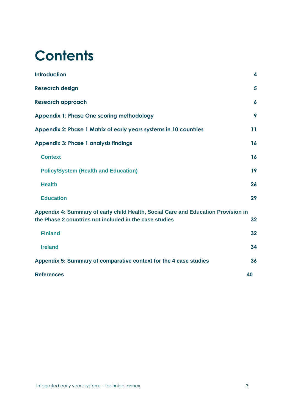# **Contents**

| <b>Introduction</b>                                                                                                                         | 4                |
|---------------------------------------------------------------------------------------------------------------------------------------------|------------------|
| <b>Research design</b>                                                                                                                      | 5                |
| <b>Research approach</b>                                                                                                                    | $\boldsymbol{6}$ |
| <b>Appendix 1: Phase One scoring methodology</b>                                                                                            | 9                |
| Appendix 2: Phase 1 Matrix of early years systems in 10 countries                                                                           | 11               |
| <b>Appendix 3: Phase 1 analysis findings</b>                                                                                                | 16               |
| <b>Context</b>                                                                                                                              | 16               |
| <b>Policy/System (Health and Education)</b>                                                                                                 | 19               |
| <b>Health</b>                                                                                                                               | 26               |
| <b>Education</b>                                                                                                                            | 29               |
| Appendix 4: Summary of early child Health, Social Care and Education Provision in<br>the Phase 2 countries not included in the case studies | 32               |
| <b>Finland</b>                                                                                                                              | 32               |
| <b>Ireland</b>                                                                                                                              | 34               |
| Appendix 5: Summary of comparative context for the 4 case studies                                                                           | 36               |
| <b>References</b>                                                                                                                           | 40               |
|                                                                                                                                             |                  |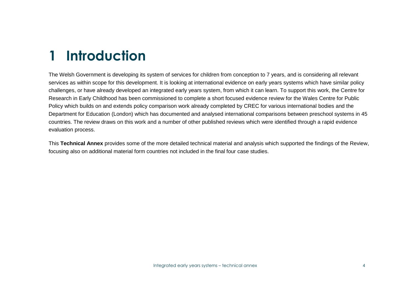# **1 Introduction**

The Welsh Government is developing its system of services for children from conception to 7 years, and is considering all relevant services as within scope for this development. It is looking at international evidence on early years systems which have similar policy challenges, or have already developed an integrated early years system, from which it can learn. To support this work, the Centre for Research in Early Childhood has been commissioned to complete a short focused evidence review for the Wales Centre for Public Policy which builds on and extends policy comparison work already completed by CREC for various international bodies and the Department for Education (London) which has documented and analysed international comparisons between preschool systems in 45 countries. The review draws on this work and a number of other published reviews which were identified through a rapid evidence evaluation process.

This **Technical Annex** provides some of the more detailed technical material and analysis which supported the findings of the Review, focusing also on additional material form countries not included in the final four case studies.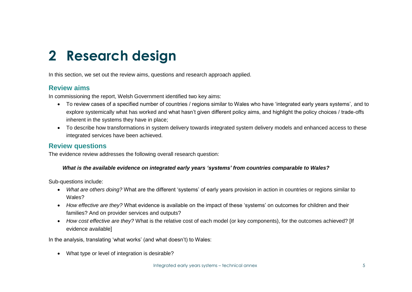# **2 Research design**

In this section, we set out the review aims, questions and research approach applied.

### **Review aims**

In commissioning the report, Welsh Government identified two key aims:

- To review cases of a specified number of countries / regions similar to Wales who have 'integrated early years systems', and to explore systemically what has worked and what hasn't given different policy aims, and highlight the policy choices / trade-offs inherent in the systems they have in place;
- To describe how transformations in system delivery towards integrated system delivery models and enhanced access to these integrated services have been achieved.

### **Review questions**

The evidence review addresses the following overall research question:

#### *What is the available evidence on integrated early years 'systems' from countries comparable to Wales?*

Sub-questions include:

- *What are others doing?* What are the different 'systems' of early years provision in action in countries or regions similar to Wales?
- *How effective are they?* What evidence is available on the impact of these 'systems' on outcomes for children and their families? And on provider services and outputs?
- *How cost effective are they?* What is the relative cost of each model (or key components), for the outcomes achieved? [If evidence available]

In the analysis, translating 'what works' (and what doesn't) to Wales:

• What type or level of integration is desirable?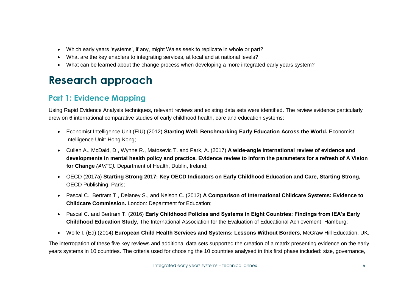- Which early years 'systems', if any, might Wales seek to replicate in whole or part?
- What are the key enablers to integrating services, at local and at national levels?
- What can be learned about the change process when developing a more integrated early years system?

### **Research approach**

### **Part 1: Evidence Mapping**

Using Rapid Evidence Analysis techniques, relevant reviews and existing data sets were identified. The review evidence particularly drew on 6 international comparative studies of early childhood health, care and education systems:

- Economist Intelligence Unit (EIU) (2012) **Starting Well: Benchmarking Early Education Across the World.** Economist Intelligence Unit: Hong Kong;
- Cullen A., McDaid, D., Wynne R., Matosevic T. and Park, A. (2017) **A wide-angle international review of evidence and developments in mental health policy and practice. Evidence review to inform the parameters for a refresh of A Vision for Change** *(AVFC).* Department of Health, Dublin, Ireland;
- OECD (2017a) **Starting Strong 2017: Key OECD Indicators on Early Childhood Education and Care, Starting Strong,** OECD Publishing, Paris;
- Pascal C., Bertram T., Delaney S., and Nelson C. (2012) **A Comparison of International Childcare Systems: Evidence to Childcare Commission.** London: Department for Education;
- Pascal C. and Bertram T. (2016) **Early Childhood Policies and Systems in Eight Countries: Findings from IEA's Early Childhood Education Study,** The International Association for the Evaluation of Educational Achievement: Hamburg;
- [Wolfe](https://www.google.co.uk/search?tbo=p&tbm=bks&q=inauthor:%22Ingrid+Wolfe%22&source=gbs_metadata_r&cad=6) I. (Ed) (2014) **European Child Health Services and Systems: Lessons Without Borders,** McGraw Hill Education, UK.

The interrogation of these five key reviews and additional data sets supported the creation of a matrix presenting evidence on the early years systems in 10 countries. The criteria used for choosing the 10 countries analysed in this first phase included: size, governance,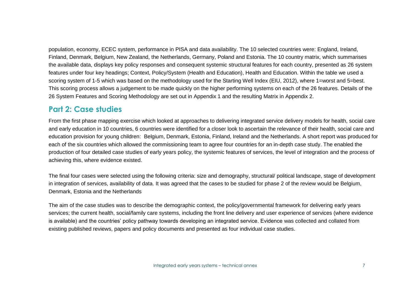population, economy, ECEC system, performance in PISA and data availability. The 10 selected countries were: England, Ireland, Finland, Denmark, Belgium, New Zealand, the Netherlands, Germany, Poland and Estonia. The 10 country matrix, which summarises the available data, displays key policy responses and consequent systemic structural features for each country, presented as 26 system features under four key headings; Context, Policy/System (Health and Education), Health and Education. Within the table we used a scoring system of 1-5 which was based on the methodology used for the Starting Well Index (EIU, 2012), where 1=worst and 5=best. This scoring process allows a judgement to be made quickly on the higher performing systems on each of the 26 features. Details of the 26 System Features and Scoring Methodology are set out in Appendix 1 and the resulting Matrix in Appendix 2.

### **Part 2: Case studies**

From the first phase mapping exercise which looked at approaches to delivering integrated service delivery models for health, social care and early education in 10 countries, 6 countries were identified for a closer look to ascertain the relevance of their health, social care and education provision for young children: Belgium, Denmark, Estonia, Finland, Ireland and the Netherlands. A short report was produced for each of the six countries which allowed the commissioning team to agree four countries for an in-depth case study. The enabled the production of four detailed case studies of early years policy, the systemic features of services, the level of integration and the process of achieving this, where evidence existed.

The final four cases were selected using the following criteria: size and demography, structural/ political landscape, stage of development in integration of services, availability of data. It was agreed that the cases to be studied for phase 2 of the review would be Belgium, Denmark, Estonia and the Netherlands

The aim of the case studies was to describe the demographic context, the policy/governmental framework for delivering early years services; the current health, social/family care systems, including the front line delivery and user experience of services (where evidence is available) and the countries' policy pathway towards developing an integrated service. Evidence was collected and collated from existing published reviews, papers and policy documents and presented as four individual case studies.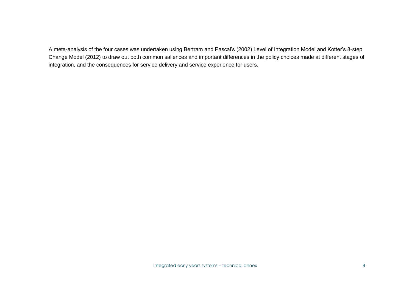A meta-analysis of the four cases was undertaken using Bertram and Pascal's (2002) Level of Integration Model and Kotter's 8-step Change Model (2012) to draw out both common saliences and important differences in the policy choices made at different stages of integration, and the consequences for service delivery and service experience for users.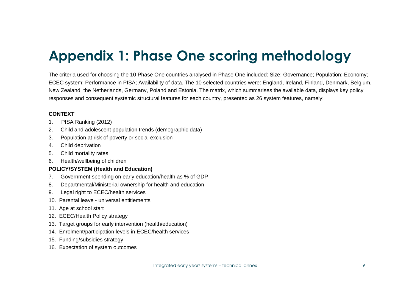# **Appendix 1: Phase One scoring methodology**

The criteria used for choosing the 10 Phase One countries analysed in Phase One included: Size; Governance; Population; Economy; ECEC system; Performance in PISA; Availability of data. The 10 selected countries were: England, Ireland, Finland, Denmark, Belgium, New Zealand, the Netherlands, Germany, Poland and Estonia. The matrix, which summarises the available data, displays key policy responses and consequent systemic structural features for each country, presented as 26 system features, namely:

#### **CONTEXT**

- 1. PISA Ranking (2012)
- 2. Child and adolescent population trends (demographic data)
- 3. Population at risk of poverty or social exclusion
- 4. Child deprivation
- 5. Child mortality rates
- 6. Health/wellbeing of children

#### **POLICY/SYSTEM (Health and Education)**

- 7. Government spending on early education/health as % of GDP
- 8. Departmental/Ministerial ownership for health and education
- 9. Legal right to ECEC/health services
- 10. Parental leave universal entitlements
- 11. Age at school start
- 12. ECEC/Health Policy strategy
- 13. Target groups for early intervention (health/education)
- 14. Enrolment/participation levels in ECEC/health services
- 15. Funding/subsidies strategy
- 16. Expectation of system outcomes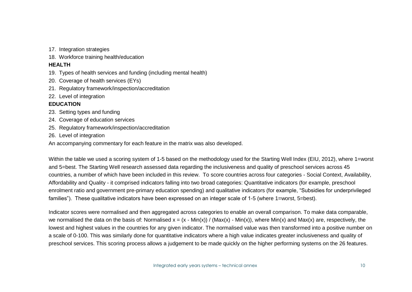17. Integration strategies

18. Workforce training health/education

#### **HEALTH**

- 19. Types of health services and funding (including mental health)
- 20. Coverage of health services (EYs)
- 21. Regulatory framework/inspection/accreditation
- 22. Level of integration

#### **EDUCATION**

- 23. Setting types and funding
- 24. Coverage of education services
- 25. Regulatory framework/inspection/accreditation
- 26. Level of integration

An accompanying commentary for each feature in the matrix was also developed.

Within the table we used a scoring system of 1-5 based on the methodology used for the Starting Well Index (EIU, 2012), where 1=worst and 5=best. The Starting Well research assessed data regarding the inclusiveness and quality of preschool services across 45 countries, a number of which have been included in this review. To score countries across four categories - Social Context, Availability, Affordability and Quality - it comprised indicators falling into two broad categories: Quantitative indicators (for example, preschool enrolment ratio and government pre-primary education spending) and qualitative indicators (for example, "Subsidies for underprivileged families"). These qualitative indicators have been expressed on an integer scale of 1-5 (where 1=worst, 5=best).

Indicator scores were normalised and then aggregated across categories to enable an overall comparison. To make data comparable, we normalised the data on the basis of: Normalised  $x = (x - Min(x)) / (Max(x) - Min(x))$ , where Min(x) and Max(x) are, respectively, the lowest and highest values in the countries for any given indicator. The normalised value was then transformed into a positive number on a scale of 0-100. This was similarly done for quantitative indicators where a high value indicates greater inclusiveness and quality of preschool services. This scoring process allows a judgement to be made quickly on the higher performing systems on the 26 features.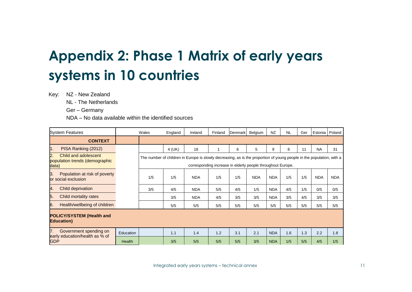# **Appendix 2: Phase 1 Matrix of early years systems in 10 countries**

Key: NZ - New Zealand

NL - The Netherlands

Ger – Germany

NDA – No data available within the identified sources

| <b>System Features</b>                                                              |               | Wales | England | Ireland                                                                                                               | Finland                                                     | Denmark | Belgium    | <b>NZ</b>  | <b>NL</b> | Ger |            | Estonia   Poland |
|-------------------------------------------------------------------------------------|---------------|-------|---------|-----------------------------------------------------------------------------------------------------------------------|-------------------------------------------------------------|---------|------------|------------|-----------|-----|------------|------------------|
| <b>CONTEXT</b>                                                                      |               |       |         |                                                                                                                       |                                                             |         |            |            |           |     |            |                  |
| $\mathbf 1$ .<br>PISA Ranking (2012)                                                |               |       | 4 (UK)  | 18                                                                                                                    |                                                             | 6       | 5          | 9          | 8         | 11  | <b>NA</b>  | 31               |
| $\overline{2}$ .<br>Child and adolescent<br>population trends (demographic<br>data) |               |       |         | The number of children in Europe is slowly decreasing, as is the proportion of young people in the population, with a | corresponding increase in elderly people throughout Europe. |         |            |            |           |     |            |                  |
| 3.<br>Population at risk of poverty<br>or social exclusion                          |               | 1/5   | 1/5     | <b>NDA</b>                                                                                                            | 1/5                                                         | 1/5     | <b>NDA</b> | <b>NDA</b> | 1/5       | 1/5 | <b>NDA</b> | <b>NDA</b>       |
| 4.<br>Child deprivation                                                             |               | 3/5   | 4/5     | <b>NDA</b>                                                                                                            | 5/5                                                         | 4/5     | 1/5        | <b>NDA</b> | 4/5       | 1/5 | 0/5        | 0/5              |
| 5.<br>Child mortality rates                                                         |               |       | 3/5     | <b>NDA</b>                                                                                                            | 4/5                                                         | 3/5     | 3/5        | <b>NDA</b> | 3/5       | 4/5 | 3/5        | 3/5              |
| 6.<br>Health/wellbeing of children                                                  |               |       | 5/5     | 5/5                                                                                                                   | 5/5                                                         | 5/5     | 5/5        | 5/5        | 5/5       | 5/5 | 5/5        | 5/5              |
| <b>POLICY/SYSTEM (Health and</b><br><b>Education</b> )                              |               |       |         |                                                                                                                       |                                                             |         |            |            |           |     |            |                  |
| 7.<br>Government spending on                                                        | Education     |       | 1.1     | 1.4                                                                                                                   | 1.2                                                         | 3.1     | 2.1        | <b>NDA</b> | 1.6       | 1.3 | 2.2        | 1.8              |
| early education/health as % of<br><b>GDP</b>                                        | <b>Health</b> |       | 3/5     | 5/5                                                                                                                   | 5/5                                                         | 5/5     | 3/5        | <b>NDA</b> | 1/5       | 5/5 | 4/5        | 1/5              |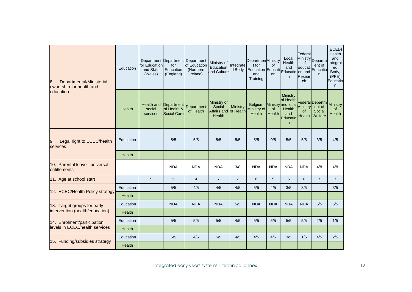| 8.<br>Departmental/Ministerial<br>ownership for health and | Education     | for Education<br>and Skills<br>(Wales)             | for<br>Education<br>(England)     | Department Department Department<br>of Education<br>(Northern<br>Ireland) | Ministry of Integrate<br>Education<br>and Culture        | d Body         | <b>DepartmenMinistry</b><br>t for<br><b>Education Educati</b><br>and<br>Training | <b>of</b><br>on | Local<br>Health<br>and<br>Educatio<br>n.                                       | Federal<br>οf<br>Educati<br>on and<br>Resear<br>ch | Ministry Departm<br>ent of<br>Educatio<br>n.   | (ECED)<br>Health<br>and<br>Integrat<br>ed<br>Body,<br>(PPE)<br>Educatio<br>n |
|------------------------------------------------------------|---------------|----------------------------------------------------|-----------------------------------|---------------------------------------------------------------------------|----------------------------------------------------------|----------------|----------------------------------------------------------------------------------|-----------------|--------------------------------------------------------------------------------|----------------------------------------------------|------------------------------------------------|------------------------------------------------------------------------------|
| education                                                  | Health        | <b>Health and Department</b><br>social<br>services | of Health &<br><b>Social Care</b> | Department<br>of Health                                                   | Ministry of<br>Social<br>Affairs and of Health<br>Health | Ministry       | Belgium<br>Ministry of<br>Health                                                 | of<br>Health    | Ministry<br>of Health<br>Ministry and local<br>Health<br>and<br>Educatio<br>n. | <b>Ministry</b><br><b>of</b><br><b>Health</b>      | Federal Departm<br>ent of<br>Social<br>Welfare | <b>Ministry</b><br>0f<br>Health                                              |
| 9.<br>Legal right to ECEC/health<br>services               | Education     |                                                    | 5/5                               | 5/5                                                                       | 5/5                                                      | 5/5            | 5/5                                                                              | 0/5             | 5/5                                                                            | 5/5                                                | 3/5                                            | 4/5                                                                          |
|                                                            | Health        |                                                    |                                   |                                                                           |                                                          |                |                                                                                  |                 |                                                                                |                                                    |                                                |                                                                              |
| 10. Parental leave - universal<br>entitlements             |               |                                                    | <b>NDA</b>                        | <b>NDA</b>                                                                | <b>NDA</b>                                               | 3/8            | <b>NDA</b>                                                                       | <b>NDA</b>      | <b>NDA</b>                                                                     | <b>NDA</b>                                         | 4/8                                            | 4/8                                                                          |
| 11. Age at school start                                    |               | 5                                                  | 5                                 | $\overline{4}$                                                            | $\overline{7}$                                           | $\overline{7}$ | 6                                                                                | 5               | 5                                                                              | 6                                                  | $\overline{7}$                                 | $\overline{7}$                                                               |
| 12. ECEC/Health Policy strategy                            | Education     |                                                    | 5/5                               | 4/5                                                                       | 4/5                                                      | 4/5            | 5/5                                                                              | 4/5             | 3/5                                                                            | 3/5                                                |                                                | 3/5                                                                          |
|                                                            | Health        |                                                    |                                   |                                                                           |                                                          |                |                                                                                  |                 |                                                                                |                                                    |                                                |                                                                              |
| 13. Target groups for early                                | Education     |                                                    | <b>NDA</b>                        | <b>NDA</b>                                                                | <b>NDA</b>                                               | 5/5            | <b>NDA</b>                                                                       | <b>NDA</b>      | <b>NDA</b>                                                                     | <b>NDA</b>                                         | 5/5                                            | 5/5                                                                          |
| intervention (health/education)                            | <b>Health</b> |                                                    |                                   |                                                                           |                                                          |                |                                                                                  |                 |                                                                                |                                                    |                                                |                                                                              |
| 14. Enrolment/participation                                | Education     |                                                    | 5/5                               | 5/5                                                                       | 5/5                                                      | 4/5            | 5/5                                                                              | 5/5             | 5/5                                                                            | 5/5                                                | 2/5                                            | 1/5                                                                          |
| levels in ECEC/health services<br>Health                   |               |                                                    |                                   |                                                                           |                                                          |                |                                                                                  |                 |                                                                                |                                                    |                                                |                                                                              |
|                                                            | Education     |                                                    | 5/5                               | 4/5                                                                       | 5/5                                                      | 4/5            | 4/5                                                                              | 4/5             | 3/5                                                                            | 1/5                                                | 4/5                                            | 2/5                                                                          |
| 15. Funding/subsidies strategy<br>Health                   |               |                                                    |                                   |                                                                           |                                                          |                |                                                                                  |                 |                                                                                |                                                    |                                                |                                                                              |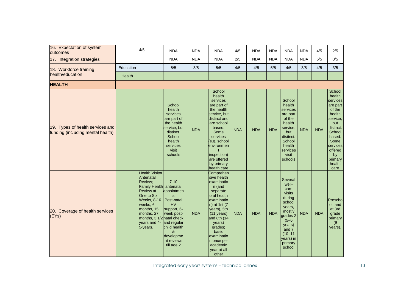| 16. Expectation of system<br>outcomes                                 |           | 4/5                                                                                                                                                                                                                            | <b>NDA</b>                                                                                                                                                                      | <b>NDA</b> | <b>NDA</b>                                                                                                                                                                                                                                                       | 4/5        | <b>NDA</b> | <b>NDA</b> | <b>NDA</b>                                                                                                                                                              | <b>NDA</b> | 4/5        | 2/5                                                                                                                                                                                |
|-----------------------------------------------------------------------|-----------|--------------------------------------------------------------------------------------------------------------------------------------------------------------------------------------------------------------------------------|---------------------------------------------------------------------------------------------------------------------------------------------------------------------------------|------------|------------------------------------------------------------------------------------------------------------------------------------------------------------------------------------------------------------------------------------------------------------------|------------|------------|------------|-------------------------------------------------------------------------------------------------------------------------------------------------------------------------|------------|------------|------------------------------------------------------------------------------------------------------------------------------------------------------------------------------------|
| 17. Integration strategies                                            |           |                                                                                                                                                                                                                                | <b>NDA</b>                                                                                                                                                                      | <b>NDA</b> | <b>NDA</b>                                                                                                                                                                                                                                                       | 2/5        | <b>NDA</b> | <b>NDA</b> | <b>NDA</b>                                                                                                                                                              | <b>NDA</b> | 5/5        | 0/5                                                                                                                                                                                |
| 18. Workforce training                                                | Education |                                                                                                                                                                                                                                | 5/5                                                                                                                                                                             | 3/5        | 5/5                                                                                                                                                                                                                                                              | 4/5        | 4/5        | 5/5        | 4/5                                                                                                                                                                     | 3/5        | 4/5        | 3/5                                                                                                                                                                                |
| health/education                                                      | Health    |                                                                                                                                                                                                                                |                                                                                                                                                                                 |            |                                                                                                                                                                                                                                                                  |            |            |            |                                                                                                                                                                         |            |            |                                                                                                                                                                                    |
| <b>HEALTH</b>                                                         |           |                                                                                                                                                                                                                                |                                                                                                                                                                                 |            |                                                                                                                                                                                                                                                                  |            |            |            |                                                                                                                                                                         |            |            |                                                                                                                                                                                    |
| 19. Types of health services and<br>funding (including mental health) |           |                                                                                                                                                                                                                                | School<br>health<br>services<br>are part of<br>the health<br>service, but<br>distinct.<br>School<br>health<br>services<br>visit<br>schools                                      | <b>NDA</b> | School<br>health<br>services<br>are part of<br>the health<br>service, but<br>distinct and<br>are school<br>based.<br>Some<br>services<br>(e.g. school<br>environmen<br>inspection)<br>are offered<br>by primary<br>health care                                   | <b>NDA</b> | <b>NDA</b> | <b>NDA</b> | School<br>health<br>services<br>are part<br>of the<br>health<br>service,<br>but<br>distinct.<br>School<br>health<br>services<br>visit<br>schools                        | <b>NDA</b> | <b>NDA</b> | School<br>health<br>services<br>are part<br>of the<br>health<br>service,<br>but<br>distinct.<br>School<br>based.<br>Some<br>services<br>offered<br>by<br>primary<br>health<br>care |
| 20. Coverage of health services<br>(EYs)                              |           | <b>Health Visitor</b><br>Antenatal<br>Review;<br><b>Family Health</b><br><b>Review</b> at<br>One to Six<br><b>Weeks, 8-16</b><br>weeks, 6<br>months, 15<br>months, 27<br>months, 3 1/2 natal check<br>years and 4-<br>5-years. | $7 - 10$<br>antenatal<br>appointmen<br>ts,<br>Post-natal<br><b>HV</b><br>support, 6-<br>week post-<br>and regular<br>child health<br>&<br>developme<br>nt reviews<br>till age 2 | <b>NDA</b> | Comprehen<br>sive health<br>examinatio<br>n (and<br>separate<br>oral health<br>examinatio<br>n) at 1st (7<br>years), 5th<br>$(11 \text{ years})$<br>and 8th $(14)$<br>years)<br>grades;<br>basic<br>examinatio<br>n once per<br>academic<br>year at all<br>other | <b>NDA</b> | <b>NDA</b> | <b>NDA</b> | Several<br>well-<br>care<br>visits<br>during<br>school<br>years,<br>mostly<br>grades 2<br>$(5 - 6)$<br>years)<br>and 7<br>$(10 - 11)$<br>years) in<br>primary<br>school | <b>NDA</b> | <b>NDA</b> | Prescho<br>ol, and<br>at 3rd<br>grade<br>primary<br>(9)<br>years).                                                                                                                 |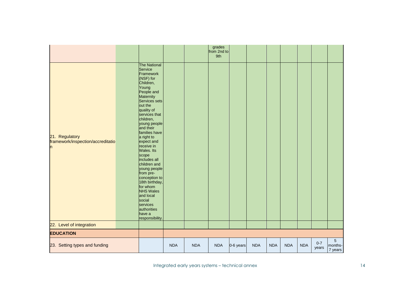|                                                          |                                                                                                                                                                                                                                                                                                                                                                                                                                                                                                                 |            |            | grades<br>from 2nd to<br>9th |           |            |            |            |            |                  |                         |
|----------------------------------------------------------|-----------------------------------------------------------------------------------------------------------------------------------------------------------------------------------------------------------------------------------------------------------------------------------------------------------------------------------------------------------------------------------------------------------------------------------------------------------------------------------------------------------------|------------|------------|------------------------------|-----------|------------|------------|------------|------------|------------------|-------------------------|
| 21. Regulatory<br>framework/inspection/accreditatio<br>n | <b>The National</b><br>Service<br>Framework<br>(NSF) for<br>Children,<br>Young<br>People and<br>Maternity<br>Services sets<br>out the<br>quality of<br>services that<br>children,<br>young people<br>and their<br>families have<br>a right to<br>expect and<br>receive in<br>Wales. Its<br>scope<br>includes all<br>children and<br>young people<br>from pre-<br>conception to<br>18th birthday,<br>for whom<br><b>NHS Wales</b><br>and local<br>social<br>services<br>authorities<br>have a<br>responsibility. |            |            |                              |           |            |            |            |            |                  |                         |
| 22. Level of integration                                 |                                                                                                                                                                                                                                                                                                                                                                                                                                                                                                                 |            |            |                              |           |            |            |            |            |                  |                         |
| <b>EDUCATION</b>                                         |                                                                                                                                                                                                                                                                                                                                                                                                                                                                                                                 |            |            |                              |           |            |            |            |            |                  |                         |
| 23. Setting types and funding                            |                                                                                                                                                                                                                                                                                                                                                                                                                                                                                                                 | <b>NDA</b> | <b>NDA</b> | <b>NDA</b>                   | 0-6 years | <b>NDA</b> | <b>NDA</b> | <b>NDA</b> | <b>NDA</b> | $0 - 7$<br>years | 5<br>months-<br>7 years |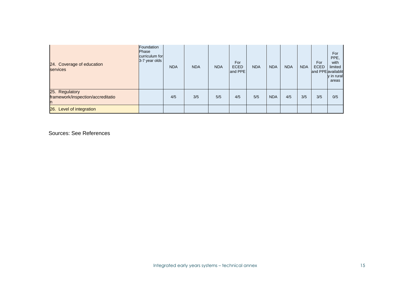| 24. Coverage of education<br>services                     | Foundation<br><b>Phase</b><br>curriculum for<br>3-7 year olds | <b>NDA</b> | <b>NDA</b> | <b>NDA</b> | For<br><b>ECED</b><br>and PPE | <b>NDA</b> | <b>NDA</b> | <b>NDA</b> | <b>NDA</b> | For<br><b>ECED</b><br>and PPE availablit | For<br>PPE.<br>with<br>limited<br>y in rural<br>areas |
|-----------------------------------------------------------|---------------------------------------------------------------|------------|------------|------------|-------------------------------|------------|------------|------------|------------|------------------------------------------|-------------------------------------------------------|
| 25. Regulatory<br>framework/inspection/accreditatio<br>'n |                                                               | 4/5        | 3/5        | 5/5        | 4/5                           | 5/5        | <b>NDA</b> | 4/5        | 3/5        | 3/5                                      | 0/5                                                   |
| 26. Level of integration                                  |                                                               |            |            |            |                               |            |            |            |            |                                          |                                                       |

Sources: See References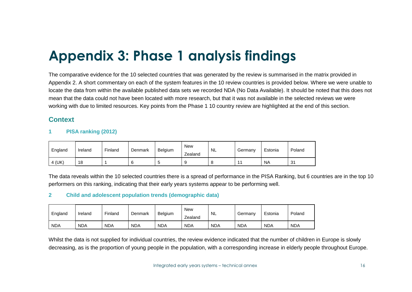# **Appendix 3: Phase 1 analysis findings**

The comparative evidence for the 10 selected countries that was generated by the review is summarised in the matrix provided in Appendix 2. A short commentary on each of the system features in the 10 review countries is provided below. Where we were unable to locate the data from within the available published data sets we recorded NDA (No Data Available). It should be noted that this does not mean that the data could not have been located with more research, but that it was not available in the selected reviews we were working with due to limited resources. Key points from the Phase 1 10 country review are highlighted at the end of this section.

### **Context**

#### **1 PISA ranking (2012)**

| England | Ireland | Finland | Denmark | Belgium | <b>New</b><br>Zealand | <b>NL</b> | Germany                  | Estonia   | Poland |
|---------|---------|---------|---------|---------|-----------------------|-----------|--------------------------|-----------|--------|
| 4 (UK)  | 18      |         |         | s.      |                       | O         | $\overline{\phantom{a}}$ | <b>NA</b> | 31     |

The data reveals within the 10 selected countries there is a spread of performance in the PISA Ranking, but 6 countries are in the top 10 performers on this ranking, indicating that their early years systems appear to be performing well.

#### **2 Child and adolescent population trends (demographic data)**

| England    | Ireland    | Finland    | Denmark    | Belgium    | <b>New</b><br>Zealand | <b>NL</b>  | Germany    | Estonia    | Poland     |
|------------|------------|------------|------------|------------|-----------------------|------------|------------|------------|------------|
| <b>NDA</b> | <b>NDA</b> | <b>NDA</b> | <b>NDA</b> | <b>NDA</b> | <b>NDA</b>            | <b>NDA</b> | <b>NDA</b> | <b>NDA</b> | <b>NDA</b> |

Whilst the data is not supplied for individual countries, the review evidence indicated that the number of children in Europe is slowly decreasing, as is the proportion of young people in the population, with a corresponding increase in elderly people throughout Europe.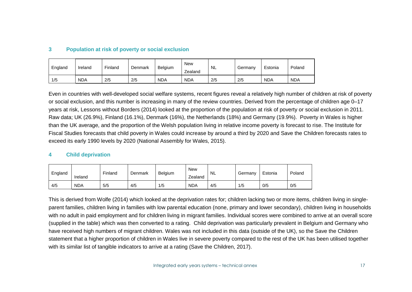#### **3 Population at risk of poverty or social exclusion**

| England | Ireland    | Finland | Denmark | Belgium    | <b>New</b><br>Zealand | <b>NL</b> | Germany | Estonia    | Poland     |
|---------|------------|---------|---------|------------|-----------------------|-----------|---------|------------|------------|
| 1/5     | <b>NDA</b> | 2/5     | 2/5     | <b>NDA</b> | <b>NDA</b>            | 2/5       | 2/5     | <b>NDA</b> | <b>NDA</b> |

Even in countries with well-developed social welfare systems, recent figures reveal a relatively high number of children at risk of poverty or social exclusion, and this number is increasing in many of the review countries. Derived from the percentage of children age 0–17 years at risk, Lessons without Borders (2014) looked at the proportion of the population at risk of poverty or social exclusion in 2011. Raw data; UK (26.9%), Finland (16.1%), Denmark (16%), the Netherlands (18%) and Germany (19.9%). Poverty in Wales is higher than the UK average, and the proportion of the Welsh population living in relative income poverty is forecast to rise. The Institute for Fiscal Studies forecasts that child poverty in Wales could increase by around a third by 2020 and Save the Children forecasts rates to exceed its early 1990 levels by 2020 (National Assembly for Wales, 2015).

#### **4 Child deprivation**

| England | Ireland    | Finland | Denmark | Belgium | <b>New</b><br>Zealand | <b>NL</b> | Germany | Estonia | Poland |
|---------|------------|---------|---------|---------|-----------------------|-----------|---------|---------|--------|
| 4/5     | <b>NDA</b> | 5/5     | 4/5     | 1/5     | <b>NDA</b>            | 4/5       | 1/5     | 0/5     | 0/5    |

This is derived from Wolfe (2014) which looked at the deprivation rates for; children lacking two or more items, children living in singleparent families, children living in families with low parental education (none, primary and lower secondary), children living in households with no adult in paid employment and for children living in migrant families. Individual scores were combined to arrive at an overall score (supplied in the table) which was then converted to a rating. Child deprivation was particularly prevalent in Belgium and Germany who have received high numbers of migrant children. Wales was not included in this data (outside of the UK), so the Save the Children statement that a higher proportion of children in Wales live in severe poverty compared to the rest of the UK has been utilised together with its similar list of tangible indicators to arrive at a rating (Save the Children, 2017).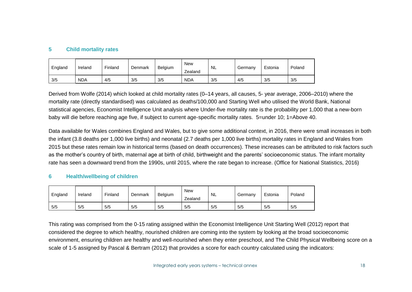#### **5 Child mortality rates**

| England | Ireland    | Finland | Denmark | Belgium | <b>New</b><br>Zealand | NL  | Germany | Estonia | Poland |
|---------|------------|---------|---------|---------|-----------------------|-----|---------|---------|--------|
| 3/5     | <b>NDA</b> | 4/5     | 3/5     | 3/5     | <b>NDA</b>            | 3/5 | 4/5     | 3/5     | 3/5    |

Derived from Wolfe (2014) which looked at child mortality rates (0–14 years, all causes, 5- year average, 2006–2010) where the mortality rate (directly standardised) was calculated as deaths/100,000 and Starting Well who utilised the World Bank, National statistical agencies, Economist Intelligence Unit analysis where Under-five mortality rate is the probability per 1,000 that a new-born baby will die before reaching age five, if subject to current age-specific mortality rates. 5=under 10; 1=Above 40.

Data available for Wales combines England and Wales, but to give some additional context, in 2016, there were small increases in both the infant (3.8 deaths per 1,000 live births) and neonatal (2.7 deaths per 1,000 live births) mortality rates in England and Wales from 2015 but these rates remain low in historical terms (based on death occurrences). These increases can be attributed to risk factors such as the mother's country of birth, maternal age at birth of child, birthweight and the parents' socioeconomic status. The infant mortality rate has seen a downward trend from the 1990s, until 2015, where the rate began to increase. (Office for National Statistics, 2016)

#### **6 Health/wellbeing of children**

| England | Ireland | Finland | Denmark | Belgium | New<br>Zealand | NL  | Germany | Estonia | Poland |
|---------|---------|---------|---------|---------|----------------|-----|---------|---------|--------|
| 5/5     | 5/5     | 5/5     | 5/5     | 5/5     | 5/5            | 5/5 | 5/5     | 5/5     | 5/5    |

This rating was comprised from the 0-15 rating assigned within the Economist Intelligence Unit Starting Well (2012) report that considered the degree to which healthy, nourished children are coming into the system by looking at the broad socioeconomic environment, ensuring children are healthy and well-nourished when they enter preschool, and The Child Physical Wellbeing score on a scale of 1-5 assigned by Pascal & Bertram (2012) that provides a score for each country calculated using the indicators: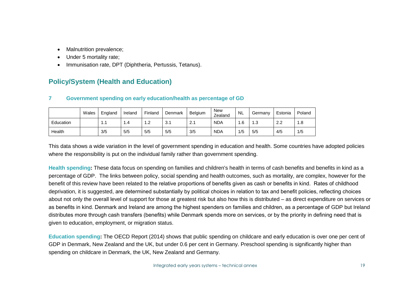- Malnutrition prevalence;
- Under 5 mortality rate:
- Immunisation rate, DPT (Diphtheria, Pertussis, Tetanus).

### **Policy/System (Health and Education)**

#### **7 Government spending on early education/health as percentage of GD**

|           | Wales | England | Ireland | Finland        | Denmark | Belgium | <b>New</b><br>Zealand | <b>NL</b> | Germanv | Estonia   | Poland                            |
|-----------|-------|---------|---------|----------------|---------|---------|-----------------------|-----------|---------|-----------|-----------------------------------|
| Education |       | .       | 4. ا    | $\sim$<br>ے. ا | 3.      | 2.1     | <b>NDA</b>            | 6. ا      | 1.3     | ററ<br>ے ۔ | 1.8<br>$\boldsymbol{\mathcal{A}}$ |
| Health    |       | 3/5     | 5/5     | 5/5            | 5/5     | 3/5     | <b>NDA</b>            | 1/5       | 5/5     | 4/5       | 1/5                               |

This data shows a wide variation in the level of government spending in education and health. Some countries have adopted policies where the responsibility is put on the individual family rather than government spending.

**Health spending:** These data focus on spending on families and children's health in terms of cash benefits and benefits in kind as a percentage of GDP. The links between policy, social spending and health outcomes, such as mortality, are complex, however for the benefit of this review have been related to the relative proportions of benefits given as cash or benefits in kind. Rates of childhood deprivation, it is suggested, are determined substantially by political choices in relation to tax and benefit policies, reflecting choices about not only the overall level of support for those at greatest risk but also how this is distributed – as direct expenditure on services or as benefits in kind. Denmark and Ireland are among the highest spenders on families and children, as a percentage of GDP but Ireland distributes more through cash transfers (benefits) while Denmark spends more on services, or by the priority in defining need that is given to education, employment, or migration status.

**[Education](http://ec.europa.eu/eurostat/statistics-explained/index.php/Government_expenditure_on_education) spending:** The OECD Report (2014) shows that public spending on childcare and early education is over one per cent of GDP in Denmark, New Zealand and the UK, but under 0.6 per cent in Germany. Preschool spending is significantly higher than spending on childcare in Denmark, the UK, New Zealand and Germany.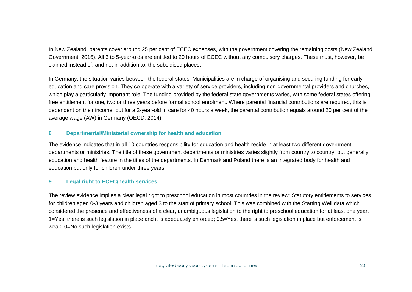In New Zealand, parents cover around 25 per cent of ECEC expenses, with the government covering the remaining costs (New Zealand Government, 2016). All 3 to 5-year-olds are entitled to 20 hours of ECEC without any compulsory charges. These must, however, be claimed instead of, and not in addition to, the subsidised places.

In Germany, the situation varies between the federal states. Municipalities are in charge of organising and securing funding for early education and care provision. They co-operate with a variety of service providers, including non-governmental providers and churches, which play a particularly important role. The funding provided by the federal state governments varies, with some federal states offering free entitlement for one, two or three years before formal school enrolment. Where parental financial contributions are required, this is dependent on their income, but for a 2-year-old in care for 40 hours a week, the parental contribution equals around 20 per cent of the average wage (AW) in Germany (OECD, 2014).

#### **8 Departmental/Ministerial ownership for health and education**

The evidence indicates that in all 10 countries responsibility for education and health reside in at least two different government departments or ministries. The title of these government departments or ministries varies slightly from country to country, but generally education and health feature in the titles of the departments. In Denmark and Poland there is an integrated body for health and education but only for children under three years.

#### **9 Legal right to ECEC/health services**

The review evidence implies a clear legal right to preschool education in most countries in the review: Statutory entitlements to services for children aged 0-3 years and children aged 3 to the start of primary school. This was combined with the Starting Well data which considered the presence and effectiveness of a clear, unambiguous legislation to the right to preschool education for at least one year. 1=Yes, there is such legislation in place and it is adequately enforced; 0.5=Yes, there is such legislation in place but enforcement is weak; 0=No such legislation exists.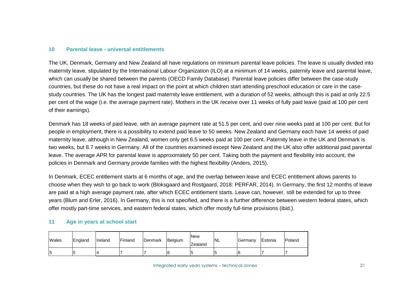#### **10 Parental leave - universal entitlements**

The UK, Denmark, Germany and New Zealand all have regulations on minimum parental leave policies. The leave is usually divided into maternity leave, stipulated by the International Labour Organization (ILO) at a minimum of 14 weeks, paternity leave and parental leave, which can usually be shared between the parents (OECD Family Database). Parental leave policies differ between the case-study countries, but these do not have a real impact on the point at which children start attending preschool education or care in the casestudy countries. The UK has the longest paid maternity leave entitlement, with a duration of 52 weeks, although this is paid at only 22.5 per cent of the wage (i.e. the average payment rate). Mothers in the UK receive over 11 weeks of fully paid leave (paid at 100 per cent of their earnings).

Denmark has 18 weeks of paid leave, with an average payment rate at 51.5 per cent, and over nine weeks paid at 100 per cent. But for people in employment, there is a possibility to extend paid leave to 50 weeks. New Zealand and Germany each have 14 weeks of paid maternity leave, although in New Zealand, women only get 6.5 weeks paid at 100 per cent. Paternity leave in the UK and Denmark is two weeks, but 8.7 weeks in Germany. All of the countries examined except New Zealand and the UK also offer additional paid parental leave. The average APR for parental leave is approximately 50 per cent. Taking both the payment and flexibility into account, the policies in Denmark and Germany provide families with the highest flexibility (Anders, 2015).

In Denmark, ECEC entitlement starts at 6 months of age, and the overlap between leave and ECEC entitlement allows parents to choose when they wish to go back to work (Bloksgaard and Rostgaard, 2018: PERFAR, 2014). In Germany, the first 12 months of leave are paid at a high average payment rate, after which ECEC entitlement starts. Leave can, however, still be extended for up to three years (Blum and Erler, 2016). In Germany, this is not specified, and there is a further difference between western federal states, which offer mostly part-time services, and eastern federal states, which offer mostly full-time provisions (ibid.).

#### **11 Age in years at school start**

| Wales    | England | Ireland | Finland | Denmark | Belgium | <b>New</b><br>Zealand | <b>NL</b> | Germany | Estonia | Poland |
|----------|---------|---------|---------|---------|---------|-----------------------|-----------|---------|---------|--------|
| יי<br>∪ו |         |         |         |         | 16      |                       |           | 16      |         |        |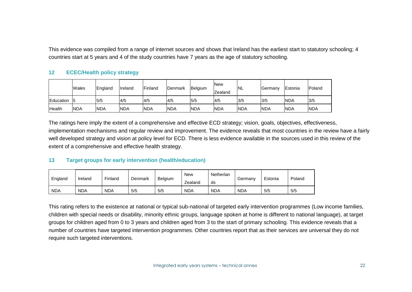This evidence was compiled from a range of internet sources and shows that Ireland has the earliest start to statutory schooling; 4 countries start at 5 years and 4 of the study countries have 7 years as the age of statutory schooling.

#### **12 ECEC/Health policy strategy**

|           | Wales      | England    | <b>I</b> reland | <b>IFinland</b> | Denmark    | Belgium    | <b>New</b><br>Zealand | <b>NL</b>  | Germany    | Estonia    | Poland     |
|-----------|------------|------------|-----------------|-----------------|------------|------------|-----------------------|------------|------------|------------|------------|
| Education |            | 5/5        | 4/5             | 4/5             | 4/5        | 5/5        | 4/5                   | 3/5        | 3/5        | <b>NDA</b> | 3/5        |
| Health    | <b>NDA</b> | <b>NDA</b> | <b>NDA</b>      | <b>NDA</b>      | <b>NDA</b> | <b>NDA</b> | <b>NDA</b>            | <b>NDA</b> | <b>NDA</b> | <b>NDA</b> | <b>NDA</b> |

The ratings here imply the extent of a comprehensive and effective ECD strategy; vision, goals, objectives, effectiveness, implementation mechanisms and regular review and improvement. The evidence reveals that most countries in the review have a fairly well developed strategy and vision at policy level for ECD. There is less evidence available in the sources used in this review of the extent of a comprehensive and effective health strategy.

#### **13 Target groups for early intervention (health/education)**

| England    | Finland<br>Ireland | Denmark    | Belgium | <b>New</b> | Netherlan  | Germany    | Estonia    | Poland |     |
|------------|--------------------|------------|---------|------------|------------|------------|------------|--------|-----|
|            |                    |            |         |            | Zealand    | ds         |            |        |     |
| <b>NDA</b> | <b>NDA</b>         | <b>NDA</b> | 5/5     | 5/5        | <b>NDA</b> | <b>NDA</b> | <b>NDA</b> | 5/5    | 5/5 |

This rating refers to the existence at national or typical sub-national of targeted early intervention programmes (Low income families, children with special needs or disability, minority ethnic groups, language spoken at home is different to national language), at target groups for children aged from 0 to 3 years and children aged from 3 to the start of primary schooling. This evidence reveals that a number of countries have targeted intervention programmes. Other countries report that as their services are universal they do not require such targeted interventions.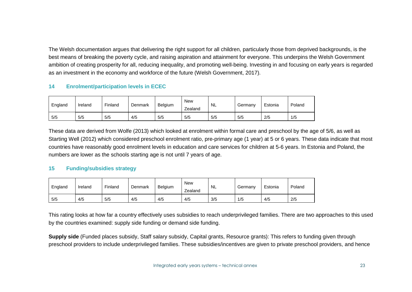The Welsh documentation argues that delivering the right support for all children, particularly those from deprived backgrounds, is the best means of breaking the poverty cycle, and raising aspiration and attainment for everyone. This underpins the Welsh Government ambition of creating prosperity for all, reducing inequality, and promoting well-being. Investing in and focusing on early years is regarded as an investment in the economy and workforce of the future (Welsh Government, 2017).

#### **14 Enrolment/participation levels in ECEC**

| England | Ireland | Finland | Denmark | Belgium | <b>New</b><br>Zealand | <b>NL</b> | Germany | Estonia | Poland |
|---------|---------|---------|---------|---------|-----------------------|-----------|---------|---------|--------|
| 5/5     | 5/5     | 5/5     | 4/5     | 5/5     | 5/5                   | 5/5       | 5/5     | 2/5     | 1/5    |

These data are derived from Wolfe (2013) which looked at enrolment within formal care and preschool by the age of 5/6, as well as Starting Well (2012) which considered preschool enrolment ratio, pre-primary age (1 year) at 5 or 6 years. These data indicate that most countries have reasonably good enrolment levels in education and care services for children at 5-6 years. In Estonia and Poland, the numbers are lower as the schools starting age is not until 7 years of age.

#### **15 Funding/subsidies strategy**

| England | Ireland | Finland | Denmark | Belgium | <b>New</b><br>Zealand | <b>NL</b> | Germany | Estonia | Poland |
|---------|---------|---------|---------|---------|-----------------------|-----------|---------|---------|--------|
| 5/5     | 4/5     | 5/5     | 4/5     | 4/5     | 4/5                   | 3/5       | 1/5     | 4/5     | 2/5    |

This rating looks at how far a country effectively uses subsidies to reach underprivileged families. There are two approaches to this used by the countries examined: supply side funding or demand side funding.

**Supply side** (Funded places subsidy, Staff salary subsidy, Capital grants, Resource grants): This refers to funding given through preschool providers to include underprivileged families. These subsidies/incentives are given to private preschool providers, and hence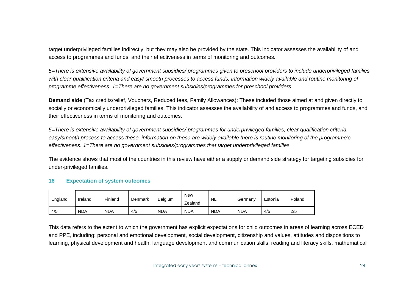target underprivileged families indirectly, but they may also be provided by the state. This indicator assesses the availability of and access to programmes and funds, and their effectiveness in terms of monitoring and outcomes.

*5=There is extensive availability of government subsidies/ programmes given to preschool providers to include underprivileged families with clear qualification criteria and easy/ smooth processes to access funds, information widely available and routine monitoring of programme effectiveness. 1=There are no government subsidies/programmes for preschool providers.*

**Demand side** (Tax credits/relief, Vouchers, Reduced fees, Family Allowances): These included those aimed at and given directly to socially or economically underprivileged families. This indicator assesses the availability of and access to programmes and funds, and their effectiveness in terms of monitoring and outcomes.

*5=There is extensive availability of government subsidies/ programmes for underprivileged families, clear qualification criteria, easy/smooth process to access these, information on these are widely available there is routine monitoring of the programme's effectiveness. 1=There are no government subsidies/programmes that target underprivileged families.* 

The evidence shows that most of the countries in this review have either a supply or demand side strategy for targeting subsidies for under-privileged families.

#### **16 Expectation of system outcomes**

| England | Ireland    | Finland    | Denmark | Belgium    | <b>New</b><br>Zealand | <b>NL</b>  | Germany    | Estonia | Poland |
|---------|------------|------------|---------|------------|-----------------------|------------|------------|---------|--------|
| 4/5     | <b>NDA</b> | <b>NDA</b> | 4/5     | <b>NDA</b> | <b>NDA</b>            | <b>NDA</b> | <b>NDA</b> | 4/5     | 2/5    |

This data refers to the extent to which the government has explicit expectations for child outcomes in areas of learning across ECED and PPE, including; personal and emotional development, social development, citizenship and values, attitudes and dispositions to learning, physical development and health, language development and communication skills, reading and literacy skills, mathematical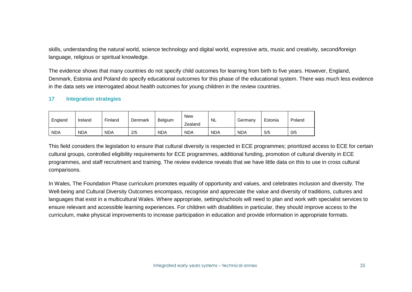skills, understanding the natural world, science technology and digital world, expressive arts, music and creativity, second/foreign language, religious or spiritual knowledge.

The evidence shows that many countries do not specify child outcomes for learning from birth to five years. However, England, Denmark, Estonia and Poland do specify educational outcomes for this phase of the educational system. There was much less evidence in the data sets we interrogated about health outcomes for young children in the review countries.

#### **17 Integration strategies**

| England    | Ireland    | Finland    | Denmark | Belgium    | New<br>-<br>Zealand | <b>NL</b>  | Germany    | Estonia | Poland |
|------------|------------|------------|---------|------------|---------------------|------------|------------|---------|--------|
| <b>NDA</b> | <b>NDA</b> | <b>NDA</b> | 2/5     | <b>NDA</b> | <b>NDA</b>          | <b>NDA</b> | <b>NDA</b> | 5/5     | 0/5    |

This field considers the legislation to ensure that cultural diversity is respected in ECE programmes; prioritized access to ECE for certain cultural groups, controlled eligibility requirements for ECE programmes, additional funding, promotion of cultural diversity in ECE programmes, and staff recruitment and training. The review evidence reveals that we have little data on this to use in cross cultural comparisons.

In Wales, The Foundation Phase curriculum promotes equality of opportunity and values, and celebrates inclusion and diversity. The Well-being and Cultural Diversity Outcomes encompass, recognise and appreciate the value and diversity of traditions, cultures and languages that exist in a multicultural Wales. Where appropriate, settings/schools will need to plan and work with specialist services to ensure relevant and accessible learning experiences. For children with disabilities in particular, they should improve access to the curriculum, make physical improvements to increase participation in education and provide information in appropriate formats.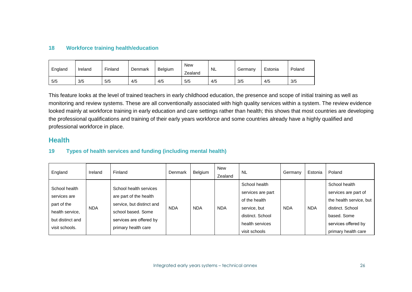#### **18 Workforce training health/education**

| England | Ireland | Finland | Denmark | Belgium | <b>New</b><br>Zealand | <b>NL</b> | Germany | Estonia | Poland |
|---------|---------|---------|---------|---------|-----------------------|-----------|---------|---------|--------|
| 5/5     | 3/5     | 5/5     | 4/5     | 4/5     | 5/5                   | 4/5       | 3/5     | 4/5     | 3/5    |

This feature looks at the level of trained teachers in early childhood education, the presence and scope of initial training as well as monitoring and review systems. These are all conventionally associated with high quality services within a system. The review evidence looked mainly at workforce training in early education and care settings rather than health; this shows that most countries are developing the professional qualifications and training of their early years workforce and some countries already have a highly qualified and professional workforce in place.

#### **Health**

#### **19 Types of health services and funding (including mental health)**

| England                                                                                               | Ireland    | Finland                                                                                                                                               | Denmark    | Belgium    | <b>New</b><br>Zealand | <b>NL</b>                                                                                                                   | Germany    | Estonia    | Poland                                                                                                                                            |
|-------------------------------------------------------------------------------------------------------|------------|-------------------------------------------------------------------------------------------------------------------------------------------------------|------------|------------|-----------------------|-----------------------------------------------------------------------------------------------------------------------------|------------|------------|---------------------------------------------------------------------------------------------------------------------------------------------------|
| School health<br>services are<br>part of the<br>health service,<br>but distinct and<br>visit schools. | <b>NDA</b> | School health services<br>are part of the health<br>service, but distinct and<br>school based. Some<br>services are offered by<br>primary health care | <b>NDA</b> | <b>NDA</b> | <b>NDA</b>            | School health<br>services are part<br>of the health<br>service, but<br>distinct. School<br>health services<br>visit schools | <b>NDA</b> | <b>NDA</b> | School health<br>services are part of<br>the health service, but<br>distinct. School<br>based. Some<br>services offered by<br>primary health care |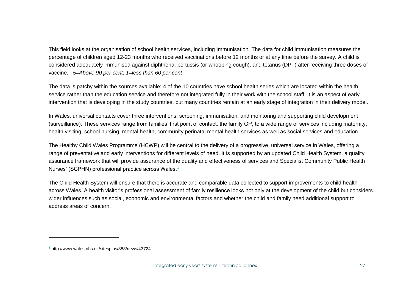This field looks at the organisation of school health services, including Immunisation. The data for child immunisation measures the percentage of children aged 12-23 months who received vaccinations before 12 months or at any time before the survey. A child is considered adequately immunised against diphtheria, pertussis (or whooping cough), and tetanus (DPT) after receiving three doses of vaccine. *5=Above 90 per cent; 1=less than 60 per cent*

The data is patchy within the sources available; 4 of the 10 countries have school health series which are located within the health service rather than the education service and therefore not integrated fully in their work with the school staff. It is an aspect of early intervention that is developing in the study countries, but many countries remain at an early stage of integration in their delivery model.

In Wales, universal contacts cover three interventions: screening, immunisation, and monitoring and supporting child development (surveillance). These services range from families' first point of contact, the family GP, to a wide range of services including maternity, health visiting, school nursing, mental health, community perinatal mental health services as well as social services and education.

The Healthy Child Wales Programme (HCWP) will be central to the delivery of a progressive, universal service in Wales, offering a range of preventative and early interventions for different levels of need. It is supported by an updated Child Health System, a quality assurance framework that will provide assurance of the quality and effectiveness of services and Specialist Community Public Health Nurses' (SCPHN) professional practice across Wales. **1**

The Child Health System will ensure that there is accurate and comparable data collected to support improvements to child health across Wales. A health visitor's professional assessment of family resilience looks not only at the development of the child but considers wider influences such as social, economic and environmental factors and whether the child and family need additional support to address areas of concern.

**<sup>1</sup>** http://www.wales.nhs.uk/sitesplus/888/news/43724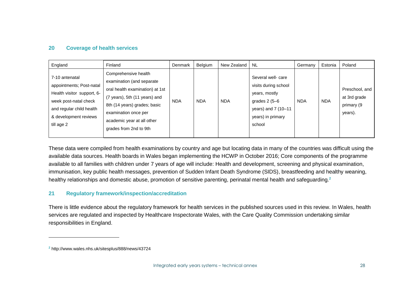#### **20 Coverage of health services**

| England                                                                                                                                                              | Finland                                                                                                                                                                                                                               | Denmark    | Belgium    | New Zealand | <b>NL</b>                                                                                                                           | Germany    | Estonia    | Poland                                                  |
|----------------------------------------------------------------------------------------------------------------------------------------------------------------------|---------------------------------------------------------------------------------------------------------------------------------------------------------------------------------------------------------------------------------------|------------|------------|-------------|-------------------------------------------------------------------------------------------------------------------------------------|------------|------------|---------------------------------------------------------|
| 7-10 antenatal<br>appointments; Post-natal<br>Health visitor support, 6-<br>week post-natal check<br>and regular child health<br>& development reviews<br>till age 2 | Comprehensive health<br>examination (and separate<br>oral health examination) at 1st<br>(7 years), 5th (11 years) and<br>8th (14 years) grades; basic<br>examination once per<br>academic year at all other<br>grades from 2nd to 9th | <b>NDA</b> | <b>NDA</b> | <b>NDA</b>  | Several well-care<br>visits during school<br>years, mostly<br>grades $2(5-6)$<br>years) and 7 (10-11<br>years) in primary<br>school | <b>NDA</b> | <b>NDA</b> | Preschool, and<br>at 3rd grade<br>primary (9<br>years). |

These data were compiled from health examinations by country and age but locating data in many of the countries was difficult using the available data sources. Health boards in Wales began implementing the HCWP in October 2016; Core components of the programme available to all families with children under 7 years of age will include: Health and development, screening and physical examination, immunisation, key public health messages, prevention of Sudden Infant Death Syndrome (SIDS), breastfeeding and healthy weaning, healthy relationships and domestic abuse, promotion of sensitive parenting, perinatal mental health and safeguarding.**<sup>2</sup>**

#### **21 Regulatory framework/inspection/accreditation**

There is little evidence about the regulatory framework for health services in the published sources used in this review. In Wales, health services are regulated and inspected by Healthcare Inspectorate Wales, with the Care Quality Commission undertaking similar responsibilities in England.

**<sup>2</sup>** http://www.wales.nhs.uk/sitesplus/888/news/43724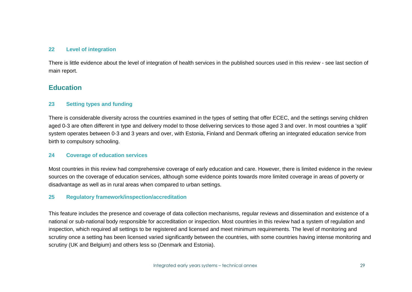#### **22 Level of integration**

There is little evidence about the level of integration of health services in the published sources used in this review - see last section of main report.

#### **Education**

#### **23 Setting types and funding**

There is considerable diversity across the countries examined in the types of setting that offer ECEC, and the settings serving children aged 0-3 are often different in type and delivery model to those delivering services to those aged 3 and over. In most countries a 'split' system operates between 0-3 and 3 years and over, with Estonia, Finland and Denmark offering an integrated education service from birth to compulsory schooling.

#### **24 Coverage of education services**

Most countries in this review had comprehensive coverage of early education and care. However, there is limited evidence in the review sources on the coverage of education services, although some evidence points towards more limited coverage in areas of poverty or disadvantage as well as in rural areas when compared to urban settings.

#### **25 Regulatory framework/inspection/accreditation**

This feature includes the presence and coverage of data collection mechanisms, regular reviews and dissemination and existence of a national or sub-national body responsible for accreditation or inspection. Most countries in this review had a system of regulation and inspection, which required all settings to be registered and licensed and meet minimum requirements. The level of monitoring and scrutiny once a setting has been licensed varied significantly between the countries, with some countries having intense monitoring and scrutiny (UK and Belgium) and others less so (Denmark and Estonia).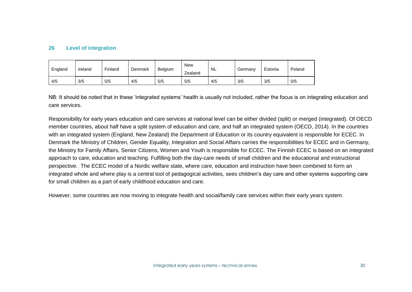#### **26 Level of integration**

| England | Ireland | Finland | Denmark | Belgium | <b>New</b><br>Zealand | <b>NL</b> | Germany | Estonia | Poland |
|---------|---------|---------|---------|---------|-----------------------|-----------|---------|---------|--------|
| 4/5     | 3/5     | 5/5     | 4/5     | 5/5     | 5/5                   | 4/5       | 3/5     | 3/5     | 0/5    |

NB: It should be noted that in these 'integrated systems' health is usually not included, rather the focus is on integrating education and care services.

Responsibility for early years education and care services at national level can be either divided (split) or merged (integrated). Of OECD member countries, about half have a split system of education and care, and half an integrated system (OECD, 2014). In the countries with an integrated system (England, New Zealand) the Department of Education or its country equivalent is responsible for ECEC. In Denmark the Ministry of Children, Gender Equality, Integration and Social Affairs carries the responsibilities for ECEC and in Germany, the Ministry for Family Affairs, Senior Citizens, Women and Youth is responsible for ECEC. The [Finnish](https://www.oph.fi/english/education_system/early_childhood_education) ECEC is based on an integrated approach to care, education and teaching. Fulfilling both the day-care needs of small children and the educational and instructional perspective. The ECEC model of a Nordic welfare state, where care, education and instruction have been combined to form an integrated whole and where play is a central tool of pedagogical activities, sees children's day care and other systems supporting care for small children as a part of early childhood education and care.

However, some countries are now moving to integrate health and social/family care services within their early years system.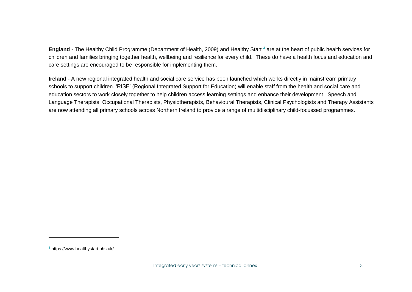**[England](http://www.oecd.org/education/school/early-childhood-education-and-care-pedagogy-review-england.pdf)** - The Healthy Child Programme (Department of Health, 2009) and Healthy Start **<sup>3</sup>** are at the heart of public health services for children and families bringing together health, wellbeing and resilience for every child. These do have a health focus and education and care settings are encouraged to be responsible for implementing them.

**[Ireland](http://www.hscboard.hscni.net/regional-integrated-support-for-education/)** - A new regional integrated health and social care service has been launched which works directly in mainstream primary schools to support children. 'RISE' (Regional Integrated Support for Education) will enable staff from the health and social care and education sectors to work closely together to help children access learning settings and enhance their development. Speech and Language Therapists, Occupational Therapists, Physiotherapists, Behavioural Therapists, Clinical Psychologists and Therapy Assistants are now attending all primary schools across Northern Ireland to provide a range of multidisciplinary child-focussed programmes.

**<sup>3</sup>** https://www.healthystart.nhs.uk/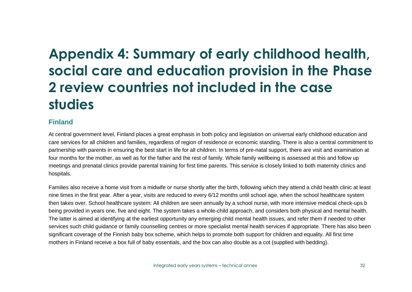# **Appendix 4: Summary of early childhood health, social care and education provision in the Phase 2 review countries not included in the case studies**

### **Finland**

At central government level, Finland places a great emphasis in both policy and legislation on universal early childhood education and care services for all children and families, regardless of region of residence or economic standing. There is also a central commitment to partnership with parents in ensuring the best start in life for all children. In terms of pre-natal support, there are visit and examination at four months for the mother, as well as for the father and the rest of family. Whole family wellbeing is assessed at this and follow up meetings and prenatal clinics provide parental training for first time parents. This service is closely linked to both maternity clinics and hospitals.

Families also receive a home visit from a midwife or nurse shortly after the birth, following which they attend a child health clinic at least nine times in the first year. After a year, visits are reduced to every 6/12 months until school age, when the school healthcare system then takes over. School healthcare system: All children are seen annually by a school nurse, with more intensive medical check-ups b being provided in years one, five and eight. The system takes a whole-child approach, and considers both physical and mental health. The latter is aimed at identifying at the earliest opportunity any emerging child mental health issues, and refer them if needed to other services such child guidance or family counselling centres or more specialist mental health services if appropriate. There has also been significant coverage of the Finnish baby box scheme, which helps to promote both support for children and equality. All first time mothers in Finland receive a box full of baby essentials, and the box can also double as a cot (supplied with bedding).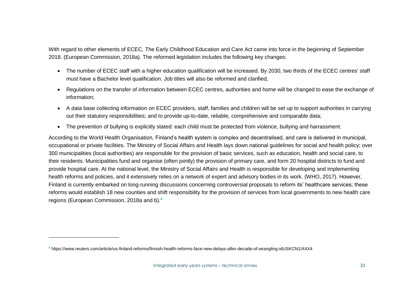With regard to other elements of ECEC, The Early Childhood Education and Care Act came into force in the beginning of September 2018. (European Commission, 2018a). The reformed legislation includes the following key changes:

- The number of ECEC staff with a higher education qualification will be increased. By 2030, two thirds of the ECEC centres' staff must have a Bachelor level qualification. Job titles will also be reformed and clarified;
- Regulations on the transfer of information between ECEC centres, authorities and home will be changed to ease the exchange of information;
- A data base collecting information on ECEC providers, staff, families and children will be set up to support authorities in carrying out their statutory responsibilities; and to provide up-to-date, reliable, comprehensive and comparable data;
- The prevention of bullying is explicitly stated: each child must be protected from violence, bullying and harrassment.

According to the World Health Organisation, Finland's health system is complex and decentralised, and care is delivered in municipal, occupational or private facilities. The Ministry of Social Affairs and Health lays down national guidelines for social and health policy; over 300 municipalities (local authorities) are responsible for the provision of basic services, such as education, health and social care, to their residents. Municipalities fund and organise (often jointly) the provision of primary care, and form 20 hospital districts to fund and provide hospital care. At the national level, the Ministry of Social Affairs and Health is responsible for developing and implementing health reforms and policies, and it extensively relies on a network of expert and advisory bodies in its work. (WHO, 2017). However, Finland is currently embarked on long-running discussions concerning controversial proposals to reform its' healthcare services; these reforms would establish 18 new counties and shift responsibility for the provision of services from local governments to new health care regions (European Commission, 2018a and b). **4**

**<sup>4</sup>** https://www.reuters.com/article/us-finland-reforms/finnish-health-reforms-face-new-delays-after-decade-of-wrangling-idUSKCN1IX4X4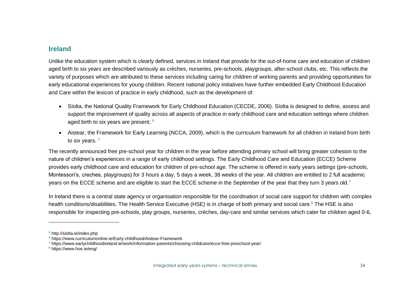#### **Ireland**

Unlike the education system which is clearly defined, services in Ireland that provide for the out-of-home care and education of children aged birth to six years are described variously as crèches, nurseries, pre-schools, playgroups, after-school clubs, etc. This reflects the variety of purposes which are attributed to these services including caring for children of working parents and providing opportunities for early educational experiences for young children. Recent national policy initiatives have further embedded Early Childhood Education and Care within the lexicon of practice in early childhood, such as the development of:

- Síolta, the National Quality Framework for Early Childhood Education (CECDE, 2006). Síolta is designed to define, assess and support the improvement of quality across all aspects of practice in early childhood care and education settings where children aged birth to six years are present; **<sup>5</sup>**
- Aistear, the Framework for Early Learning (NCCA, 2009), which is the curriculum framework for all children in Ireland from birth to six years. <sup>6</sup>

The recently announced free pre-school year for children in the year before attending primary school will bring greater cohesion to the nature of children's experiences in a range of early childhood settings. The Early Childhood Care and Education (ECCE) Scheme provides early childhood care and education for children of pre-school age. The scheme is offered in early years settings (pre-schools, Montessori's, creches, playgroups) for 3 hours a day, 5 days a week, 38 weeks of the year. All children are entitled to 2 full academic years on the ECCE scheme and are eligible to start the ECCE scheme in the September of the year that they turn 3 years old. **7**

In Ireland there is a central state agency or organisation responsible for the coordination of social care support for children with complex health conditions/disabilities. The Health Service Executive (HSE) is in charge of both primary and social care. **<sup>8</sup>** The HSE is also responsible for inspecting pre-schools, play groups, nurseries, crèches, day-care and similar services which cater for children aged 0-6,

**<sup>5</sup>** http://siolta.ie/index.php

**<sup>6</sup>** https://www.curriculumonline.ie/Early-childhood/Aistear-Framework

**<sup>7</sup>** https://www.earlychildhoodireland.ie/work/information-parents/choosing-childcare/ecce-free-preschool-year/

**<sup>8</sup>** https://www.hse.ie/eng/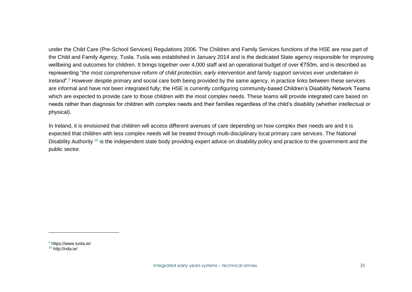under the Child Care (Pre-School Services) Regulations 2006. The Children and Family Services functions of the HSE are now part of the Child and Family Agency, Tusla. Tusla was established in January 2014 and is the dedicated State agency responsible for improving wellbeing and outcomes for children. It brings together over 4,000 staff and an operational budget of over €750m, and is described as representing "*the most comprehensive reform of child protection, early intervention and family support services ever undertaken in Ireland*".**<sup>9</sup>** However despite primary and social care both being provided by the same agency, in practice links between these services are informal and have not been integrated fully; the HSE is currently configuring community-based Children's Disability Network Teams which are expected to provide care to those children with the most complex needs. These teams will provide integrated care based on needs rather than diagnosis for children with complex needs and their families regardless of the child's disability (whether intellectual or physical).

In Ireland, it is envisioned that children will access different avenues of care depending on how complex their needs are and it is expected that children with less complex needs will be treated through multi-disciplinary local primary care services. The National Disability Authority **<sup>10</sup>** is the independent state body providing expert advice on disability policy and practice to the government and the public sector.

**<sup>9</sup>** https://www.tusla.ie/ **<sup>10</sup>** http://nda.ie/

 $\overline{a}$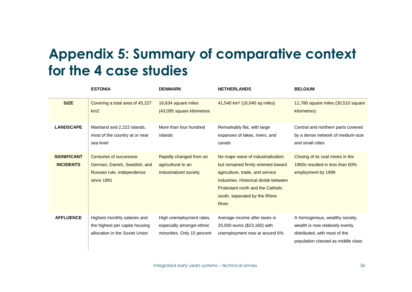# **Appendix 5: Summary of comparative context for the 4 case studies**

|                                        | <b>ESTONIA</b>                                                                                      | <b>DENMARK</b>                                                                       | <b>NETHERLANDS</b>                                                                                                                                                                                                                           | <b>BELGIUM</b>                                                                                                                           |
|----------------------------------------|-----------------------------------------------------------------------------------------------------|--------------------------------------------------------------------------------------|----------------------------------------------------------------------------------------------------------------------------------------------------------------------------------------------------------------------------------------------|------------------------------------------------------------------------------------------------------------------------------------------|
| <b>SIZE</b>                            | Covering a total area of 45,227<br>km2                                                              | 16,634 square miles<br>(43,095 square kilometres                                     | 41,540 km <sup>2</sup> (16,040 sq miles)                                                                                                                                                                                                     | 11,780 square miles (30,510 square<br>kilometres)                                                                                        |
| <b>LANDSCAPE</b>                       | Mainland and 2,222 islands,<br>most of the country at or near<br>sea level                          | More than four hundred<br>islands                                                    | Remarkably flat, with large<br>expanses of lakes, rivers, and<br>canals                                                                                                                                                                      | Central and northern parts covered<br>by a dense network of medium-size<br>and small cities                                              |
| <b>SIGNIFICANT</b><br><b>INCIDENTS</b> | Centuries of successive<br>German, Danish, Swedish, and<br>Russian rule, independence<br>since 1991 | Rapidly changed from an<br>agricultural to an<br>industrialized society              | No major wave of industrialization<br>but remained firmly oriented toward<br>agriculture, trade, and service<br>industries. Historical divide between<br><b>Protestant north and the Catholic</b><br>south, separated by the Rhine<br>River. | Closing of its coal mines in the<br>1960s resulted in less than 60%<br>employment by 1999                                                |
| <b>AFFLUENCE</b>                       | Highest monthly salaries and<br>the highest per capita housing<br>allocation in the Soviet Union    | High unemployment rates,<br>especially amongst ethnic<br>minorities. Only 15 percent | Average income after taxes is<br>20,000 euros (\$23,160) with<br>unemployment now at around 6%                                                                                                                                               | A homogenous, wealthy society,<br>wealth is now relatively evenly<br>distributed, with most of the<br>population classed as middle class |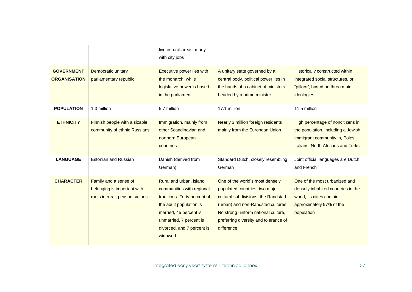|                                          |                                                                                         | live in rural areas, many<br>with city jobs                                                                                                                                                                    |                                                                                                                                                                                                                                              |                                                                                                                                                 |
|------------------------------------------|-----------------------------------------------------------------------------------------|----------------------------------------------------------------------------------------------------------------------------------------------------------------------------------------------------------------|----------------------------------------------------------------------------------------------------------------------------------------------------------------------------------------------------------------------------------------------|-------------------------------------------------------------------------------------------------------------------------------------------------|
| <b>GOVERNMENT</b><br><b>ORGANISATION</b> | Democratic unitary<br>parliamentary republic                                            | Executive power lies with<br>the monarch, while<br>legislative power is based<br>in the parliament.                                                                                                            | A unitary state governed by a<br>central body, political power lies in<br>the hands of a cabinet of ministers<br>headed by a prime minister.                                                                                                 | <b>Historically constructed within</b><br>integrated social structures, or<br>"pillars", based on three main<br>ideologies                      |
| <b>POPULATION</b>                        | 1.3 million                                                                             | 5.7 million                                                                                                                                                                                                    | 17.1 million                                                                                                                                                                                                                                 | 11.5 million                                                                                                                                    |
| <b>ETHNICITY</b>                         | Finnish people with a sizable<br>community of ethnic Russians                           | Immigration, mainly from<br>other Scandinavian and<br>northern European<br>countries                                                                                                                           | Nearly 3 million foreign residents<br>mainly from the European Union                                                                                                                                                                         | High percentage of noncitizens in<br>the population, including a Jewish<br>immigrant community in, Poles,<br>Italians, North Africans and Turks |
| <b>LANGUAGE</b>                          | <b>Estonian and Russian</b>                                                             | Danish (derived from<br>German)                                                                                                                                                                                | Standard Dutch, closely resembling<br>German                                                                                                                                                                                                 | Joint official languages are Dutch<br>and French                                                                                                |
| <b>CHARACTER</b>                         | Family and a sense of<br>belonging is important with<br>roots in rural, peasant values. | Rural and urban, island<br>communities with regional<br>traditions. Forty percent of<br>the adult population is<br>married, 45 percent is<br>unmarried, 7 percent is<br>divorced, and 7 percent is<br>widowed. | One of the world's most densely<br>populated countries, two major<br>cultural subdivisions; the Randstad<br>(urban) and non-Randstad cultures.<br>No strong uniform national culture,<br>preferring diversity and tolerance of<br>difference | One of the most urbanized and<br>densely inhabited countries in the<br>world, its cities contain<br>approximately 97% of the<br>population      |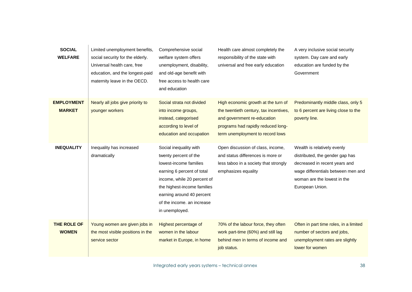| <b>SOCIAL</b><br><b>WELFARE</b>    | Limited unemployment benefits,<br>social security for the elderly.<br>Universal health care, free<br>education, and the longest-paid<br>maternity leave in the OECD. | Comprehensive social<br>welfare system offers<br>unemployment, disability,<br>and old-age benefit with<br>free access to health care<br>and education                                                                                              | Health care almost completely the<br>responsibility of the state with<br>universal and free early education                                                                            | A very inclusive social security<br>system. Day care and early<br>education are funded by the<br>Government                                                                             |
|------------------------------------|----------------------------------------------------------------------------------------------------------------------------------------------------------------------|----------------------------------------------------------------------------------------------------------------------------------------------------------------------------------------------------------------------------------------------------|----------------------------------------------------------------------------------------------------------------------------------------------------------------------------------------|-----------------------------------------------------------------------------------------------------------------------------------------------------------------------------------------|
| <b>EMPLOYMENT</b><br><b>MARKET</b> | Nearly all jobs give priority to<br>younger workers                                                                                                                  | Social strata not divided<br>into income groups,<br>instead, categorised<br>according to level of<br>education and occupation                                                                                                                      | High economic growth at the turn of<br>the twentieth century, tax incentives,<br>and government re-education<br>programs had rapidly reduced long-<br>term unemployment to record lows | Predominantly middle class, only 5<br>to 6 percent are living close to the<br>poverty line.                                                                                             |
| <b>INEQUALITY</b>                  | Inequality has increased<br>dramatically                                                                                                                             | Social inequality with<br>twenty percent of the<br>lowest-income families<br>earning 6 percent of total<br>income, while 20 percent of<br>the highest-income families<br>earning around 40 percent<br>of the income. an increase<br>in unemployed. | Open discussion of class, income,<br>and status differences is more or<br>less taboo in a society that strongly<br>emphasizes equality                                                 | Wealth is relatively evenly<br>distributed, the gender gap has<br>decreased in recent years and<br>wage differentials between men and<br>woman are the lowest in the<br>European Union. |
| THE ROLE OF<br><b>WOMEN</b>        | Young women are given jobs in<br>the most visible positions in the<br>service sector                                                                                 | Highest percentage of<br>women in the labour<br>market in Europe, in home                                                                                                                                                                          | 70% of the labour force, they often<br>work part-time (60%) and still lag<br>behind men in terms of income and<br>job status.                                                          | Often in part time roles, in a limited<br>number of sectors and jobs,<br>unemployment rates are slightly<br>lower for women                                                             |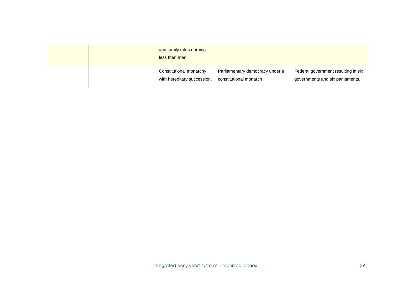|  | and family roles earning<br>less than men              |                                                           |                                                                         |
|--|--------------------------------------------------------|-----------------------------------------------------------|-------------------------------------------------------------------------|
|  | Constitutional monarchy<br>with hereditary succession. | Parliamentary democracy under a<br>constitutional monarch | Federal government resulting in six<br>governments and six parliaments. |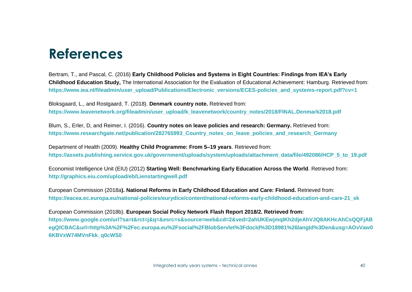## **References**

Bertram, T., and Pascal, C. (2016) **Early Childhood Policies and Systems in Eight Countries: Findings from IEA's Early Childhood Education Study,** The International Association for the Evaluation of Educational Achievement: Hamburg. Retrieved from: **[https://www.iea.nl/fileadmin/user\\_upload/Publications/Electronic\\_versions/ECES-policies\\_and\\_systems-report.pdf?cv=1](https://www.iea.nl/fileadmin/user_upload/Publications/Electronic_versions/ECES-policies_and_systems-report.pdf?cv=1)**

Bloksgaard, L., and Rostgaard, T. (2018). **Denmark country note.** Retrieved from: **[https://www.leavenetwork.org/fileadmin/user\\_upload/k\\_leavenetwork/country\\_notes/2018/FINAL.Denmark2018.pdf](https://www.leavenetwork.org/fileadmin/user_upload/k_leavenetwork/country_notes/2018/FINAL.Denmark2018.pdf)**

Blum, S., Erler, D, and Reimer, I. (2016). **Country notes on leave policies and research: Germany.** Retrieved from: **[https://www.researchgate.net/publication/282765993\\_Country\\_notes\\_on\\_leave\\_policies\\_and\\_research\\_Germany](https://www.researchgate.net/publication/282765993_Country_notes_on_leave_policies_and_research_Germany)**

Department of Health (2009). **Healthy Child Programme: From 5–19 years**. Retrieved from: **[https://assets.publishing.service.gov.uk/government/uploads/system/uploads/attachment\\_data/file/492086/HCP\\_5\\_to\\_19.pdf](https://assets.publishing.service.gov.uk/government/uploads/system/uploads/attachment_data/file/492086/HCP_5_to_19.pdf)**

Economist Intelligence Unit (EIU) (2012) **Starting Well: Benchmarking Early Education Across the World**. Retrieved from: **http://graphics.eiu.com/upload/eb/Lienstartingwell.pdf**

European Commission (2018a**). National Reforms in Early Childhood Education and Care: Finland.** Retrieved from: **[https://eacea.ec.europa.eu/national-policies/eurydice/content/national-reforms-early-childhood-education-and-care-21\\_sk](https://eacea.ec.europa.eu/national-policies/eurydice/content/national-reforms-early-childhood-education-and-care-21_sk)**

European Commission (2018b). **European Social Policy Network Flash Report 2018/2. Retrieved from: [https://www.google.com/url?sa=t&rct=j&q=&esrc=s&source=web&cd=2&ved=2ahUKEwjmqIKh2djeAhVJQ8AKHcAhCsQQFjAB](https://www.google.com/url?sa=t&rct=j&q=&esrc=s&source=web&cd=2&ved=2ahUKEwjmqIKh2djeAhVJQ8AKHcAhCsQQFjABegQICBAC&url=http%3A%2F%2Fec.europa.eu%2Fsocial%2FBlobServlet%3FdocId%3D18981%26langId%3Den&usg=AOvVaw06KBVxW74MVnFkk_q0cWS0) [egQICBAC&url=http%3A%2F%2Fec.europa.eu%2Fsocial%2FBlobServlet%3FdocId%3D18981%26langId%3Den&usg=AOvVaw0](https://www.google.com/url?sa=t&rct=j&q=&esrc=s&source=web&cd=2&ved=2ahUKEwjmqIKh2djeAhVJQ8AKHcAhCsQQFjABegQICBAC&url=http%3A%2F%2Fec.europa.eu%2Fsocial%2FBlobServlet%3FdocId%3D18981%26langId%3Den&usg=AOvVaw06KBVxW74MVnFkk_q0cWS0) [6KBVxW74MVnFkk\\_q0cWS0](https://www.google.com/url?sa=t&rct=j&q=&esrc=s&source=web&cd=2&ved=2ahUKEwjmqIKh2djeAhVJQ8AKHcAhCsQQFjABegQICBAC&url=http%3A%2F%2Fec.europa.eu%2Fsocial%2FBlobServlet%3FdocId%3D18981%26langId%3Den&usg=AOvVaw06KBVxW74MVnFkk_q0cWS0)**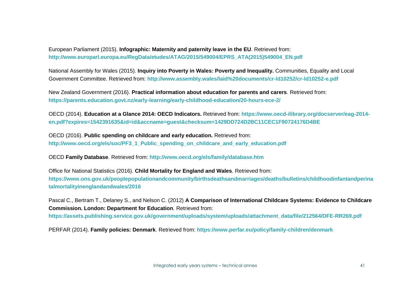European Parliament (2015). **Infographic: Maternity and paternity leave in the EU**. Retrieved from: **[http://www.europarl.europa.eu/RegData/etudes/ATAG/2015/549004/EPRS\\_ATA\(2015\)549004\\_EN.pdf](http://www.europarl.europa.eu/RegData/etudes/ATAG/2015/549004/EPRS_ATA(2015)549004_EN.pdf)**

National Assembly for Wales (2015). **Inquiry into Poverty in Wales: Poverty and Inequality.** Communities, Equality and Local Government Committee. Retrieved from: **<http://www.assembly.wales/laid%20documents/cr-ld10252/cr-ld10252-e.pdf>**

New Zealand Government (2016). **Practical information about education for parents and carers**. Retrieved from: **<https://parents.education.govt.nz/early-learning/early-childhood-education/20-hours-ece-2/>**

OECD (2014). **Education at a Glance 2014: OECD Indicators.** Retrieved from: **[https://www.oecd-ilibrary.org/docserver/eag-2014](https://www.oecd-ilibrary.org/docserver/eag-2014-en.pdf?expires=1542391635&id=id&accname=guest&checksum=1429DD724D2BC11CEC1F90724176D4BE) [en.pdf?expires=1542391635&id=id&accname=guest&checksum=1429DD724D2BC11CEC1F90724176D4BE](https://www.oecd-ilibrary.org/docserver/eag-2014-en.pdf?expires=1542391635&id=id&accname=guest&checksum=1429DD724D2BC11CEC1F90724176D4BE)**

OECD (2016). **Public spending on childcare and early education.** Retrieved from: **[http://www.oecd.org/els/soc/PF3\\_1\\_Public\\_spending\\_on\\_childcare\\_and\\_early\\_education.pdf](http://www.oecd.org/els/soc/PF3_1_Public_spending_on_childcare_and_early_education.pdf)**

OECD **Family Database**. Retrieved from: **<http://www.oecd.org/els/family/database.htm>**

Office for National Statistics (2016). **Child Mortality for England and Wales**. Retrieved from: **[https://www.ons.gov.uk/peoplepopulationandcommunity/birthsdeathsandmarriages/deaths/bulletins/childhoodinfantandperina](https://www.ons.gov.uk/peoplepopulationandcommunity/birthsdeathsandmarriages/deaths/bulletins/childhoodinfantandperinatalmortalityinenglandandwales/2016) [talmortalityinenglandandwales/2016](https://www.ons.gov.uk/peoplepopulationandcommunity/birthsdeathsandmarriages/deaths/bulletins/childhoodinfantandperinatalmortalityinenglandandwales/2016)**

Pascal C., Bertram T., Delaney S., and Nelson C. (2012) **A Comparison of International Childcare Systems: Evidence to Childcare Commission. London: Department for Education**. Retrieved from:

**[https://assets.publishing.service.gov.uk/government/uploads/system/uploads/attachment\\_data/file/212564/DFE-RR269.pdf](https://assets.publishing.service.gov.uk/government/uploads/system/uploads/attachment_data/file/212564/DFE-RR269.pdf)**

PERFAR (2014). **Family policies: Denmark**. Retrieved from: **<https://www.perfar.eu/policy/family-children/denmark>**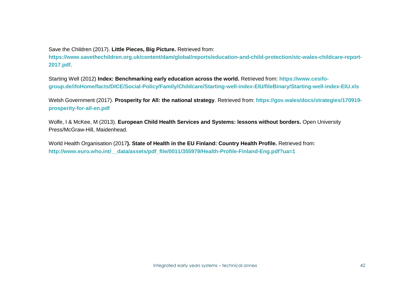Save the Children (2017). **Little Pieces, Big Picture.** Retrieved from:

**[https://www.savethechildren.org.uk/content/dam/global/reports/education-and-child-protection/stc-wales-childcare-report-](https://www.savethechildren.org.uk/content/dam/global/reports/education-and-child-protection/stc-wales-childcare-report-2017.pdf)[2017.pdf](https://www.savethechildren.org.uk/content/dam/global/reports/education-and-child-protection/stc-wales-childcare-report-2017.pdf)**.

Starting Well (2012) **Index: Benchmarking early education across the world.** Retrieved from: **[https://www.cesifo](https://www.cesifo-group.de/ifoHome/facts/DICE/Social-Policy/Family/Childcare/Starting-well-index-EIU/fileBinary/Starting-well-index-EIU.xls)[group.de/ifoHome/facts/DICE/Social-Policy/Family/Childcare/Starting-well-index-EIU/fileBinary/Starting-well-index-EIU.xls](https://www.cesifo-group.de/ifoHome/facts/DICE/Social-Policy/Family/Childcare/Starting-well-index-EIU/fileBinary/Starting-well-index-EIU.xls)**

Welsh Government (2017). **Prosperity for All: the national strategy**. Retrieved from: **[https://gov.wales/docs/strategies/170919](https://gov.wales/docs/strategies/170919-prosperity-for-all-en.pdf) [prosperity-for-all-en.pdf](https://gov.wales/docs/strategies/170919-prosperity-for-all-en.pdf)**

Wolfe, I & McKee, M (2013). **European Child Health Services and Systems: lessons without borders.** Open University Press/McGraw-Hill, Maidenhead.

World Health Organisation (2017**). State of Health in the EU Finland: Country Health Profile.** Retrieved from: **[http://www.euro.who.int/\\_\\_data/assets/pdf\\_file/0011/355979/Health-Profile-Finland-Eng.pdf?ua=1](http://www.euro.who.int/__data/assets/pdf_file/0011/355979/Health-Profile-Finland-Eng.pdf?ua=1)**